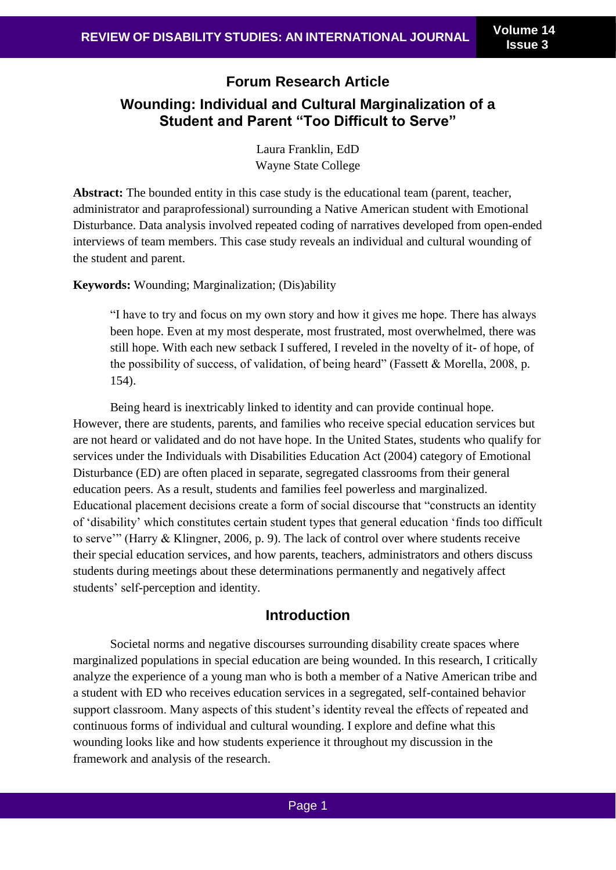**Issue 3**

# **Forum Research Article Wounding: Individual and Cultural Marginalization of a Student and Parent "Too Difficult to Serve"**

Laura Franklin, EdD Wayne State College

**Abstract:** The bounded entity in this case study is the educational team (parent, teacher, administrator and paraprofessional) surrounding a Native American student with Emotional Disturbance. Data analysis involved repeated coding of narratives developed from open-ended interviews of team members. This case study reveals an individual and cultural wounding of the student and parent.

**Keywords:** Wounding; Marginalization; (Dis)ability

"I have to try and focus on my own story and how it gives me hope. There has always been hope. Even at my most desperate, most frustrated, most overwhelmed, there was still hope. With each new setback I suffered, I reveled in the novelty of it- of hope, of the possibility of success, of validation, of being heard" (Fassett & Morella, 2008, p. 154).

Being heard is inextricably linked to identity and can provide continual hope. However, there are students, parents, and families who receive special education services but are not heard or validated and do not have hope. In the United States, students who qualify for services under the Individuals with Disabilities Education Act (2004) category of Emotional Disturbance (ED) are often placed in separate, segregated classrooms from their general education peers. As a result, students and families feel powerless and marginalized. Educational placement decisions create a form of social discourse that "constructs an identity of 'disability' which constitutes certain student types that general education 'finds too difficult to serve'" (Harry & Klingner, 2006, p. 9). The lack of control over where students receive their special education services, and how parents, teachers, administrators and others discuss students during meetings about these determinations permanently and negatively affect students' self-perception and identity.

## **Introduction**

Societal norms and negative discourses surrounding disability create spaces where marginalized populations in special education are being wounded. In this research, I critically analyze the experience of a young man who is both a member of a Native American tribe and a student with ED who receives education services in a segregated, self-contained behavior support classroom. Many aspects of this student's identity reveal the effects of repeated and continuous forms of individual and cultural wounding. I explore and define what this wounding looks like and how students experience it throughout my discussion in the framework and analysis of the research.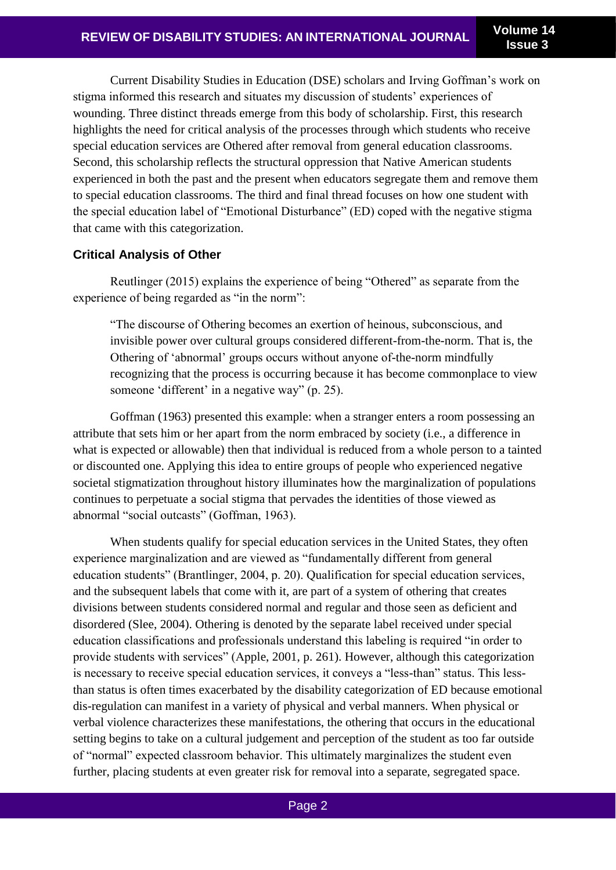Current Disability Studies in Education (DSE) scholars and Irving Goffman's work on stigma informed this research and situates my discussion of students' experiences of wounding. Three distinct threads emerge from this body of scholarship. First, this research highlights the need for critical analysis of the processes through which students who receive special education services are Othered after removal from general education classrooms. Second, this scholarship reflects the structural oppression that Native American students experienced in both the past and the present when educators segregate them and remove them to special education classrooms. The third and final thread focuses on how one student with the special education label of "Emotional Disturbance" (ED) coped with the negative stigma that came with this categorization.

## **Critical Analysis of Other**

Reutlinger (2015) explains the experience of being "Othered" as separate from the experience of being regarded as "in the norm":

"The discourse of Othering becomes an exertion of heinous, subconscious, and invisible power over cultural groups considered different-from-the-norm. That is, the Othering of 'abnormal' groups occurs without anyone of-the-norm mindfully recognizing that the process is occurring because it has become commonplace to view someone 'different' in a negative way" (p. 25).

Goffman (1963) presented this example: when a stranger enters a room possessing an attribute that sets him or her apart from the norm embraced by society (i.e., a difference in what is expected or allowable) then that individual is reduced from a whole person to a tainted or discounted one. Applying this idea to entire groups of people who experienced negative societal stigmatization throughout history illuminates how the marginalization of populations continues to perpetuate a social stigma that pervades the identities of those viewed as abnormal "social outcasts" (Goffman, 1963).

When students qualify for special education services in the United States, they often experience marginalization and are viewed as "fundamentally different from general education students" (Brantlinger, 2004, p. 20). Qualification for special education services, and the subsequent labels that come with it, are part of a system of othering that creates divisions between students considered normal and regular and those seen as deficient and disordered (Slee, 2004). Othering is denoted by the separate label received under special education classifications and professionals understand this labeling is required "in order to provide students with services" (Apple, 2001, p. 261). However, although this categorization is necessary to receive special education services, it conveys a "less-than" status. This lessthan status is often times exacerbated by the disability categorization of ED because emotional dis-regulation can manifest in a variety of physical and verbal manners. When physical or verbal violence characterizes these manifestations, the othering that occurs in the educational setting begins to take on a cultural judgement and perception of the student as too far outside of "normal" expected classroom behavior. This ultimately marginalizes the student even further, placing students at even greater risk for removal into a separate, segregated space.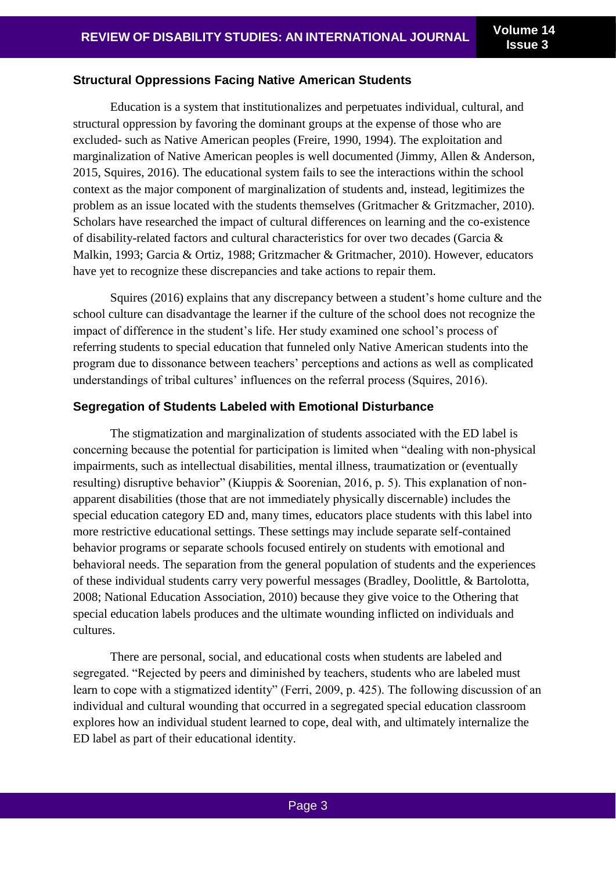#### **Structural Oppressions Facing Native American Students**

Education is a system that institutionalizes and perpetuates individual, cultural, and structural oppression by favoring the dominant groups at the expense of those who are excluded- such as Native American peoples (Freire, 1990, 1994). The exploitation and marginalization of Native American peoples is well documented (Jimmy, Allen & Anderson, 2015, Squires, 2016). The educational system fails to see the interactions within the school context as the major component of marginalization of students and, instead, legitimizes the problem as an issue located with the students themselves (Gritmacher & Gritzmacher, 2010). Scholars have researched the impact of cultural differences on learning and the co-existence of disability-related factors and cultural characteristics for over two decades (Garcia & Malkin, 1993; Garcia & Ortiz, 1988; Gritzmacher & Gritmacher, 2010). However, educators have yet to recognize these discrepancies and take actions to repair them.

Squires (2016) explains that any discrepancy between a student's home culture and the school culture can disadvantage the learner if the culture of the school does not recognize the impact of difference in the student's life. Her study examined one school's process of referring students to special education that funneled only Native American students into the program due to dissonance between teachers' perceptions and actions as well as complicated understandings of tribal cultures' influences on the referral process (Squires, 2016).

#### **Segregation of Students Labeled with Emotional Disturbance**

The stigmatization and marginalization of students associated with the ED label is concerning because the potential for participation is limited when "dealing with non-physical impairments, such as intellectual disabilities, mental illness, traumatization or (eventually resulting) disruptive behavior" (Kiuppis & Soorenian, 2016, p. 5). This explanation of nonapparent disabilities (those that are not immediately physically discernable) includes the special education category ED and, many times, educators place students with this label into more restrictive educational settings. These settings may include separate self-contained behavior programs or separate schools focused entirely on students with emotional and behavioral needs. The separation from the general population of students and the experiences of these individual students carry very powerful messages (Bradley, Doolittle, & Bartolotta, 2008; National Education Association, 2010) because they give voice to the Othering that special education labels produces and the ultimate wounding inflicted on individuals and cultures.

There are personal, social, and educational costs when students are labeled and segregated. "Rejected by peers and diminished by teachers, students who are labeled must learn to cope with a stigmatized identity" (Ferri, 2009, p. 425). The following discussion of an individual and cultural wounding that occurred in a segregated special education classroom explores how an individual student learned to cope, deal with, and ultimately internalize the ED label as part of their educational identity.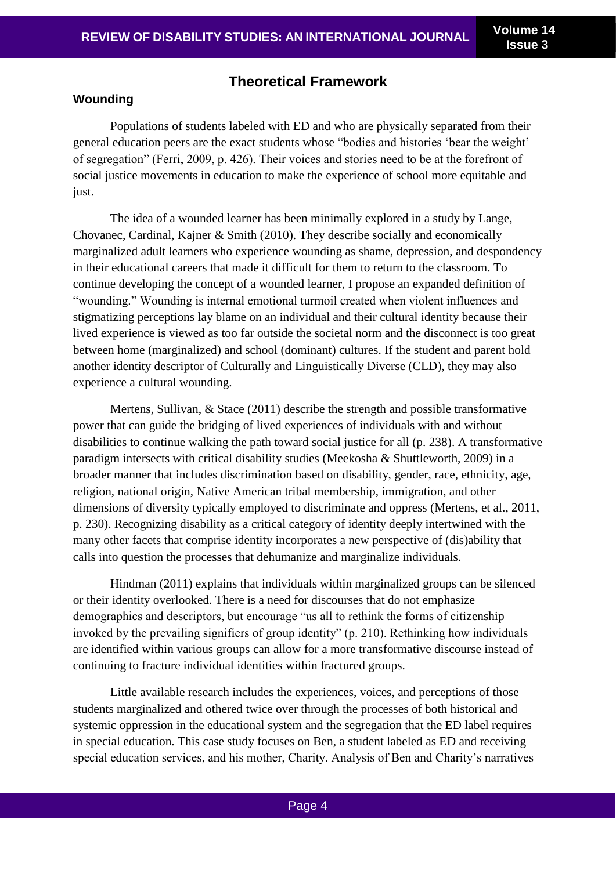# **Theoretical Framework**

### **Wounding**

Populations of students labeled with ED and who are physically separated from their general education peers are the exact students whose "bodies and histories 'bear the weight' of segregation" (Ferri, 2009, p. 426). Their voices and stories need to be at the forefront of social justice movements in education to make the experience of school more equitable and just.

The idea of a wounded learner has been minimally explored in a study by Lange, Chovanec, Cardinal, Kajner & Smith (2010). They describe socially and economically marginalized adult learners who experience wounding as shame, depression, and despondency in their educational careers that made it difficult for them to return to the classroom. To continue developing the concept of a wounded learner, I propose an expanded definition of "wounding." Wounding is internal emotional turmoil created when violent influences and stigmatizing perceptions lay blame on an individual and their cultural identity because their lived experience is viewed as too far outside the societal norm and the disconnect is too great between home (marginalized) and school (dominant) cultures. If the student and parent hold another identity descriptor of Culturally and Linguistically Diverse (CLD), they may also experience a cultural wounding.

Mertens, Sullivan, & Stace (2011) describe the strength and possible transformative power that can guide the bridging of lived experiences of individuals with and without disabilities to continue walking the path toward social justice for all (p. 238). A transformative paradigm intersects with critical disability studies (Meekosha & Shuttleworth, 2009) in a broader manner that includes discrimination based on disability, gender, race, ethnicity, age, religion, national origin, Native American tribal membership, immigration, and other dimensions of diversity typically employed to discriminate and oppress (Mertens, et al., 2011, p. 230). Recognizing disability as a critical category of identity deeply intertwined with the many other facets that comprise identity incorporates a new perspective of (dis)ability that calls into question the processes that dehumanize and marginalize individuals.

Hindman (2011) explains that individuals within marginalized groups can be silenced or their identity overlooked. There is a need for discourses that do not emphasize demographics and descriptors, but encourage "us all to rethink the forms of citizenship invoked by the prevailing signifiers of group identity" (p. 210). Rethinking how individuals are identified within various groups can allow for a more transformative discourse instead of continuing to fracture individual identities within fractured groups.

Little available research includes the experiences, voices, and perceptions of those students marginalized and othered twice over through the processes of both historical and systemic oppression in the educational system and the segregation that the ED label requires in special education. This case study focuses on Ben, a student labeled as ED and receiving special education services, and his mother, Charity. Analysis of Ben and Charity's narratives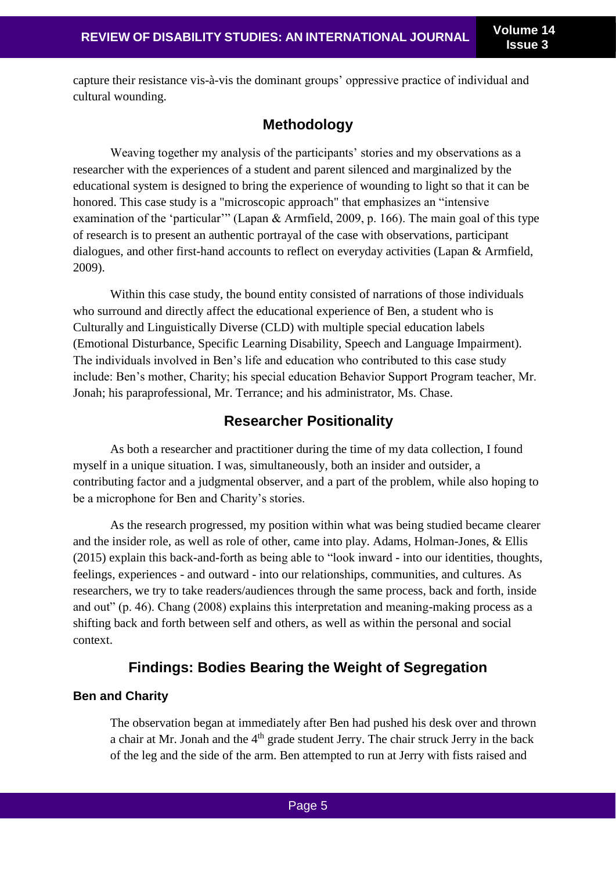capture their resistance vis-à-vis the dominant groups' oppressive practice of individual and cultural wounding.

# **Methodology**

Weaving together my analysis of the participants' stories and my observations as a researcher with the experiences of a student and parent silenced and marginalized by the educational system is designed to bring the experience of wounding to light so that it can be honored. This case study is a "microscopic approach" that emphasizes an "intensive examination of the 'particular'" (Lapan & Armfield, 2009, p. 166). The main goal of this type of research is to present an authentic portrayal of the case with observations, participant dialogues, and other first-hand accounts to reflect on everyday activities (Lapan & Armfield, 2009).

Within this case study, the bound entity consisted of narrations of those individuals who surround and directly affect the educational experience of Ben, a student who is Culturally and Linguistically Diverse (CLD) with multiple special education labels (Emotional Disturbance, Specific Learning Disability, Speech and Language Impairment). The individuals involved in Ben's life and education who contributed to this case study include: Ben's mother, Charity; his special education Behavior Support Program teacher, Mr. Jonah; his paraprofessional, Mr. Terrance; and his administrator, Ms. Chase.

# **Researcher Positionality**

As both a researcher and practitioner during the time of my data collection, I found myself in a unique situation. I was, simultaneously, both an insider and outsider, a contributing factor and a judgmental observer, and a part of the problem, while also hoping to be a microphone for Ben and Charity's stories.

As the research progressed, my position within what was being studied became clearer and the insider role, as well as role of other, came into play. Adams, Holman-Jones, & Ellis (2015) explain this back-and-forth as being able to "look inward - into our identities, thoughts, feelings, experiences - and outward - into our relationships, communities, and cultures. As researchers, we try to take readers/audiences through the same process, back and forth, inside and out" (p. 46). Chang (2008) explains this interpretation and meaning-making process as a shifting back and forth between self and others, as well as within the personal and social context.

# **Findings: Bodies Bearing the Weight of Segregation**

## **Ben and Charity**

The observation began at immediately after Ben had pushed his desk over and thrown a chair at Mr. Jonah and the 4<sup>th</sup> grade student Jerry. The chair struck Jerry in the back of the leg and the side of the arm. Ben attempted to run at Jerry with fists raised and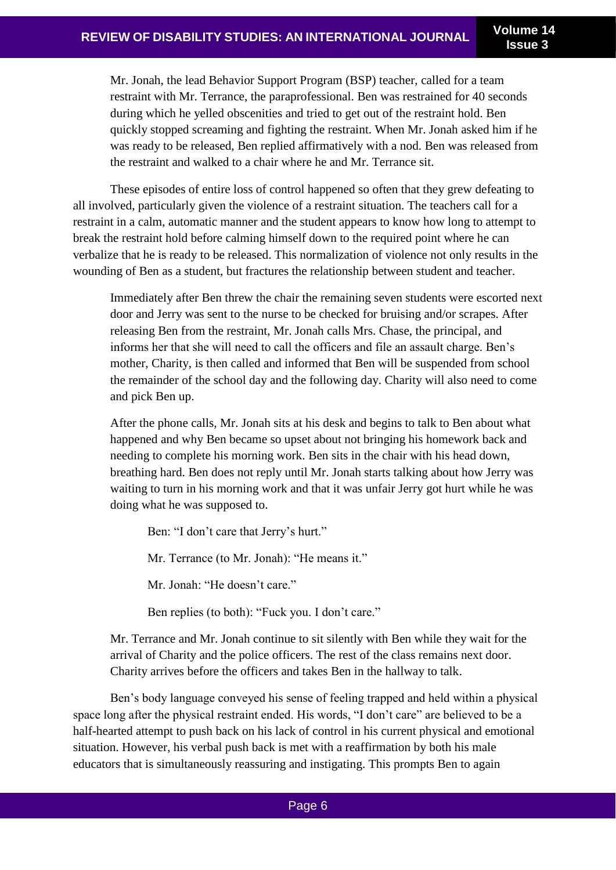**Issue 3**

Mr. Jonah, the lead Behavior Support Program (BSP) teacher, called for a team restraint with Mr. Terrance, the paraprofessional. Ben was restrained for 40 seconds during which he yelled obscenities and tried to get out of the restraint hold. Ben quickly stopped screaming and fighting the restraint. When Mr. Jonah asked him if he was ready to be released, Ben replied affirmatively with a nod. Ben was released from the restraint and walked to a chair where he and Mr. Terrance sit.

These episodes of entire loss of control happened so often that they grew defeating to all involved, particularly given the violence of a restraint situation. The teachers call for a restraint in a calm, automatic manner and the student appears to know how long to attempt to break the restraint hold before calming himself down to the required point where he can verbalize that he is ready to be released. This normalization of violence not only results in the wounding of Ben as a student, but fractures the relationship between student and teacher.

Immediately after Ben threw the chair the remaining seven students were escorted next door and Jerry was sent to the nurse to be checked for bruising and/or scrapes. After releasing Ben from the restraint, Mr. Jonah calls Mrs. Chase, the principal, and informs her that she will need to call the officers and file an assault charge. Ben's mother, Charity, is then called and informed that Ben will be suspended from school the remainder of the school day and the following day. Charity will also need to come and pick Ben up.

After the phone calls, Mr. Jonah sits at his desk and begins to talk to Ben about what happened and why Ben became so upset about not bringing his homework back and needing to complete his morning work. Ben sits in the chair with his head down, breathing hard. Ben does not reply until Mr. Jonah starts talking about how Jerry was waiting to turn in his morning work and that it was unfair Jerry got hurt while he was doing what he was supposed to.

Ben: "I don't care that Jerry's hurt." Mr. Terrance (to Mr. Jonah): "He means it." Mr. Jonah: "He doesn't care."

Ben replies (to both): "Fuck you. I don't care."

Mr. Terrance and Mr. Jonah continue to sit silently with Ben while they wait for the arrival of Charity and the police officers. The rest of the class remains next door. Charity arrives before the officers and takes Ben in the hallway to talk.

Ben's body language conveyed his sense of feeling trapped and held within a physical space long after the physical restraint ended. His words, "I don't care" are believed to be a half-hearted attempt to push back on his lack of control in his current physical and emotional situation. However, his verbal push back is met with a reaffirmation by both his male educators that is simultaneously reassuring and instigating. This prompts Ben to again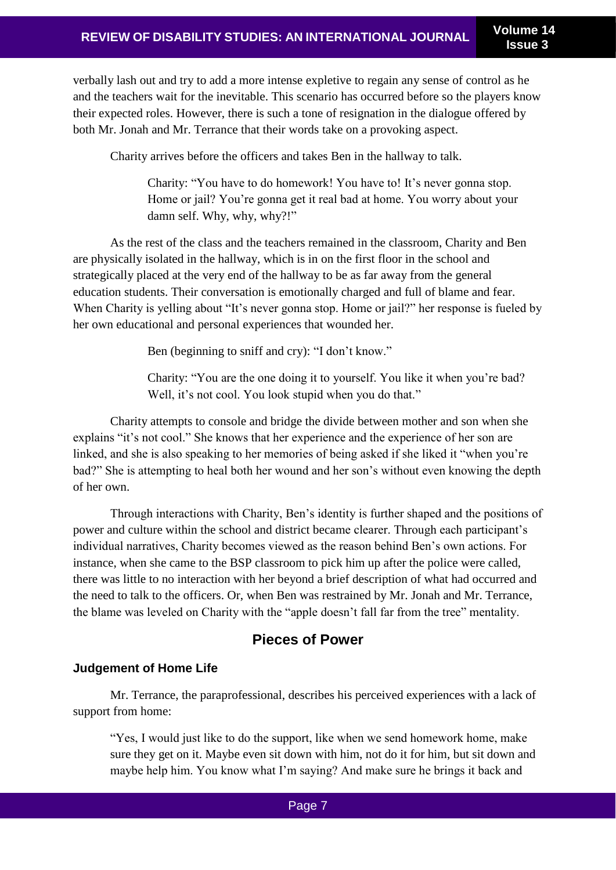verbally lash out and try to add a more intense expletive to regain any sense of control as he and the teachers wait for the inevitable. This scenario has occurred before so the players know their expected roles. However, there is such a tone of resignation in the dialogue offered by both Mr. Jonah and Mr. Terrance that their words take on a provoking aspect.

Charity arrives before the officers and takes Ben in the hallway to talk.

Charity: "You have to do homework! You have to! It's never gonna stop. Home or jail? You're gonna get it real bad at home. You worry about your damn self. Why, why, why?!"

As the rest of the class and the teachers remained in the classroom, Charity and Ben are physically isolated in the hallway, which is in on the first floor in the school and strategically placed at the very end of the hallway to be as far away from the general education students. Their conversation is emotionally charged and full of blame and fear. When Charity is yelling about "It's never gonna stop. Home or jail?" her response is fueled by her own educational and personal experiences that wounded her.

Ben (beginning to sniff and cry): "I don't know."

Charity: "You are the one doing it to yourself. You like it when you're bad? Well, it's not cool. You look stupid when you do that."

Charity attempts to console and bridge the divide between mother and son when she explains "it's not cool." She knows that her experience and the experience of her son are linked, and she is also speaking to her memories of being asked if she liked it "when you're bad?" She is attempting to heal both her wound and her son's without even knowing the depth of her own.

Through interactions with Charity, Ben's identity is further shaped and the positions of power and culture within the school and district became clearer. Through each participant's individual narratives, Charity becomes viewed as the reason behind Ben's own actions. For instance, when she came to the BSP classroom to pick him up after the police were called, there was little to no interaction with her beyond a brief description of what had occurred and the need to talk to the officers. Or, when Ben was restrained by Mr. Jonah and Mr. Terrance, the blame was leveled on Charity with the "apple doesn't fall far from the tree" mentality.

# **Pieces of Power**

## **Judgement of Home Life**

Mr. Terrance, the paraprofessional, describes his perceived experiences with a lack of support from home:

"Yes, I would just like to do the support, like when we send homework home, make sure they get on it. Maybe even sit down with him, not do it for him, but sit down and maybe help him. You know what I'm saying? And make sure he brings it back and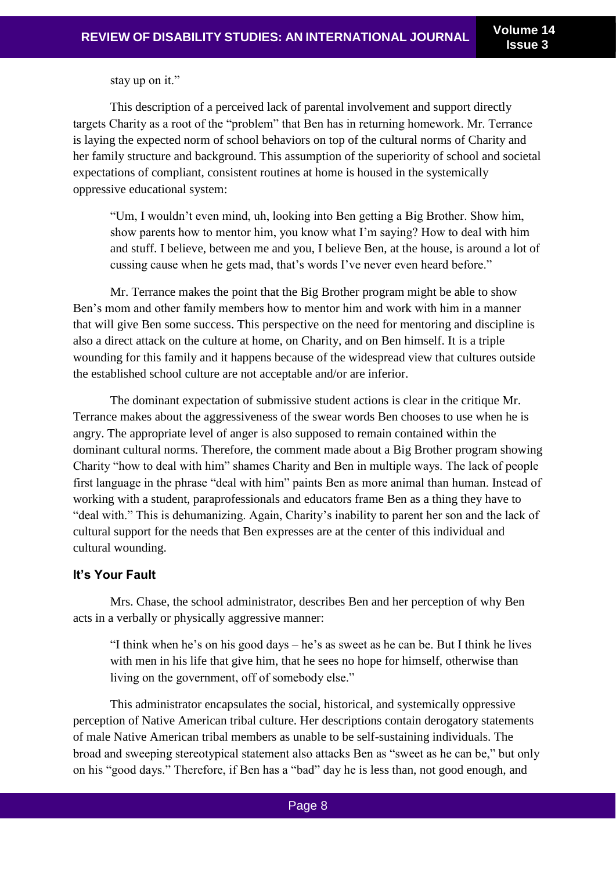stay up on it."

This description of a perceived lack of parental involvement and support directly targets Charity as a root of the "problem" that Ben has in returning homework. Mr. Terrance is laying the expected norm of school behaviors on top of the cultural norms of Charity and her family structure and background. This assumption of the superiority of school and societal expectations of compliant, consistent routines at home is housed in the systemically oppressive educational system:

"Um, I wouldn't even mind, uh, looking into Ben getting a Big Brother. Show him, show parents how to mentor him, you know what I'm saying? How to deal with him and stuff. I believe, between me and you, I believe Ben, at the house, is around a lot of cussing cause when he gets mad, that's words I've never even heard before."

Mr. Terrance makes the point that the Big Brother program might be able to show Ben's mom and other family members how to mentor him and work with him in a manner that will give Ben some success. This perspective on the need for mentoring and discipline is also a direct attack on the culture at home, on Charity, and on Ben himself. It is a triple wounding for this family and it happens because of the widespread view that cultures outside the established school culture are not acceptable and/or are inferior.

The dominant expectation of submissive student actions is clear in the critique Mr. Terrance makes about the aggressiveness of the swear words Ben chooses to use when he is angry. The appropriate level of anger is also supposed to remain contained within the dominant cultural norms. Therefore, the comment made about a Big Brother program showing Charity "how to deal with him" shames Charity and Ben in multiple ways. The lack of people first language in the phrase "deal with him" paints Ben as more animal than human. Instead of working with a student, paraprofessionals and educators frame Ben as a thing they have to "deal with." This is dehumanizing. Again, Charity's inability to parent her son and the lack of cultural support for the needs that Ben expresses are at the center of this individual and cultural wounding.

## **It's Your Fault**

Mrs. Chase, the school administrator, describes Ben and her perception of why Ben acts in a verbally or physically aggressive manner:

"I think when he's on his good days – he's as sweet as he can be. But I think he lives with men in his life that give him, that he sees no hope for himself, otherwise than living on the government, off of somebody else."

This administrator encapsulates the social, historical, and systemically oppressive perception of Native American tribal culture. Her descriptions contain derogatory statements of male Native American tribal members as unable to be self-sustaining individuals. The broad and sweeping stereotypical statement also attacks Ben as "sweet as he can be," but only on his "good days." Therefore, if Ben has a "bad" day he is less than, not good enough, and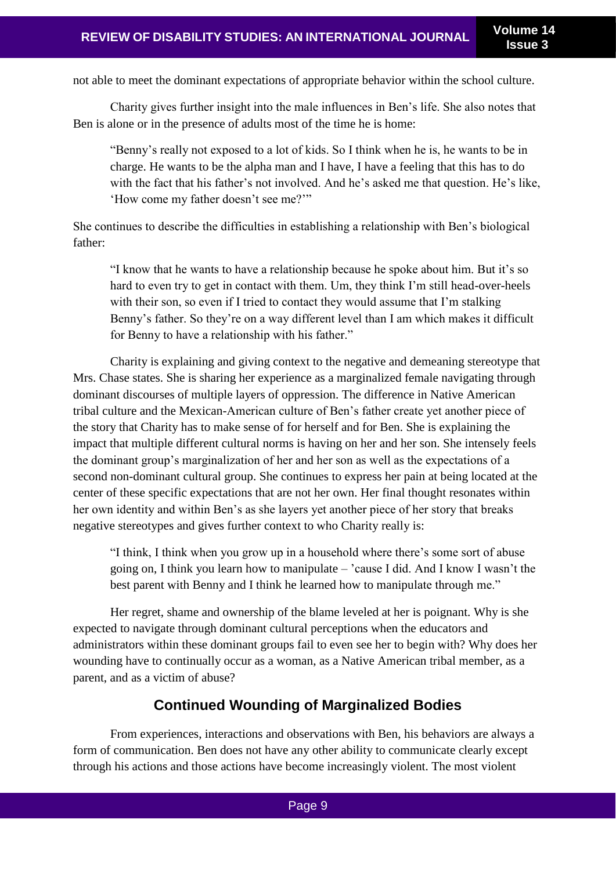not able to meet the dominant expectations of appropriate behavior within the school culture.

Charity gives further insight into the male influences in Ben's life. She also notes that Ben is alone or in the presence of adults most of the time he is home:

"Benny's really not exposed to a lot of kids. So I think when he is, he wants to be in charge. He wants to be the alpha man and I have, I have a feeling that this has to do with the fact that his father's not involved. And he's asked me that question. He's like, 'How come my father doesn't see me?'"

She continues to describe the difficulties in establishing a relationship with Ben's biological father:

"I know that he wants to have a relationship because he spoke about him. But it's so hard to even try to get in contact with them. Um, they think I'm still head-over-heels with their son, so even if I tried to contact they would assume that I'm stalking Benny's father. So they're on a way different level than I am which makes it difficult for Benny to have a relationship with his father."

Charity is explaining and giving context to the negative and demeaning stereotype that Mrs. Chase states. She is sharing her experience as a marginalized female navigating through dominant discourses of multiple layers of oppression. The difference in Native American tribal culture and the Mexican-American culture of Ben's father create yet another piece of the story that Charity has to make sense of for herself and for Ben. She is explaining the impact that multiple different cultural norms is having on her and her son. She intensely feels the dominant group's marginalization of her and her son as well as the expectations of a second non-dominant cultural group. She continues to express her pain at being located at the center of these specific expectations that are not her own. Her final thought resonates within her own identity and within Ben's as she layers yet another piece of her story that breaks negative stereotypes and gives further context to who Charity really is:

"I think, I think when you grow up in a household where there's some sort of abuse going on, I think you learn how to manipulate – 'cause I did. And I know I wasn't the best parent with Benny and I think he learned how to manipulate through me."

Her regret, shame and ownership of the blame leveled at her is poignant. Why is she expected to navigate through dominant cultural perceptions when the educators and administrators within these dominant groups fail to even see her to begin with? Why does her wounding have to continually occur as a woman, as a Native American tribal member, as a parent, and as a victim of abuse?

# **Continued Wounding of Marginalized Bodies**

From experiences, interactions and observations with Ben, his behaviors are always a form of communication. Ben does not have any other ability to communicate clearly except through his actions and those actions have become increasingly violent. The most violent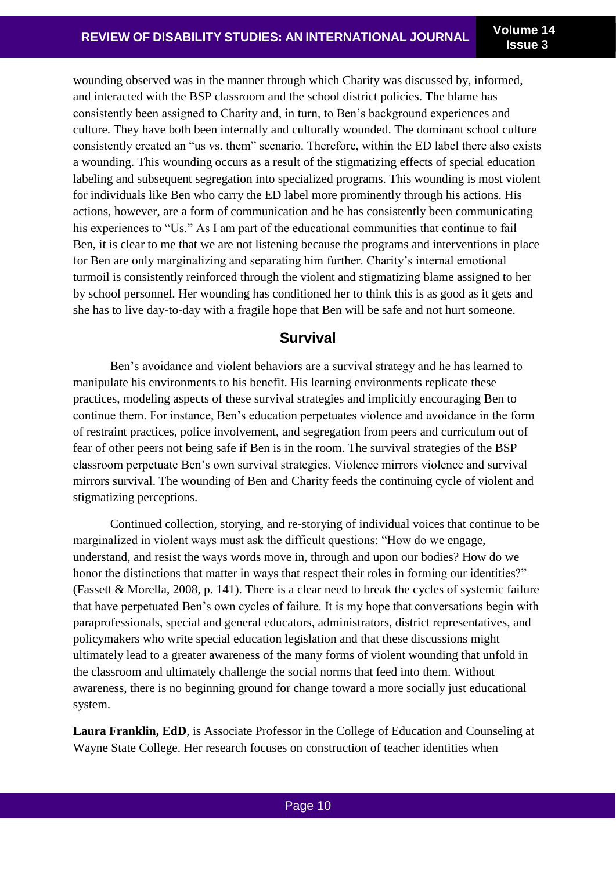wounding observed was in the manner through which Charity was discussed by, informed, and interacted with the BSP classroom and the school district policies. The blame has consistently been assigned to Charity and, in turn, to Ben's background experiences and culture. They have both been internally and culturally wounded. The dominant school culture consistently created an "us vs. them" scenario. Therefore, within the ED label there also exists a wounding. This wounding occurs as a result of the stigmatizing effects of special education labeling and subsequent segregation into specialized programs. This wounding is most violent for individuals like Ben who carry the ED label more prominently through his actions. His actions, however, are a form of communication and he has consistently been communicating his experiences to "Us." As I am part of the educational communities that continue to fail Ben, it is clear to me that we are not listening because the programs and interventions in place for Ben are only marginalizing and separating him further. Charity's internal emotional turmoil is consistently reinforced through the violent and stigmatizing blame assigned to her by school personnel. Her wounding has conditioned her to think this is as good as it gets and she has to live day-to-day with a fragile hope that Ben will be safe and not hurt someone.

## **Survival**

Ben's avoidance and violent behaviors are a survival strategy and he has learned to manipulate his environments to his benefit. His learning environments replicate these practices, modeling aspects of these survival strategies and implicitly encouraging Ben to continue them. For instance, Ben's education perpetuates violence and avoidance in the form of restraint practices, police involvement, and segregation from peers and curriculum out of fear of other peers not being safe if Ben is in the room. The survival strategies of the BSP classroom perpetuate Ben's own survival strategies. Violence mirrors violence and survival mirrors survival. The wounding of Ben and Charity feeds the continuing cycle of violent and stigmatizing perceptions.

Continued collection, storying, and re-storying of individual voices that continue to be marginalized in violent ways must ask the difficult questions: "How do we engage, understand, and resist the ways words move in, through and upon our bodies? How do we honor the distinctions that matter in ways that respect their roles in forming our identities?" (Fassett & Morella, 2008, p. 141). There is a clear need to break the cycles of systemic failure that have perpetuated Ben's own cycles of failure. It is my hope that conversations begin with paraprofessionals, special and general educators, administrators, district representatives, and policymakers who write special education legislation and that these discussions might ultimately lead to a greater awareness of the many forms of violent wounding that unfold in the classroom and ultimately challenge the social norms that feed into them. Without awareness, there is no beginning ground for change toward a more socially just educational system.

**Laura Franklin, EdD**, is Associate Professor in the College of Education and Counseling at Wayne State College. Her research focuses on construction of teacher identities when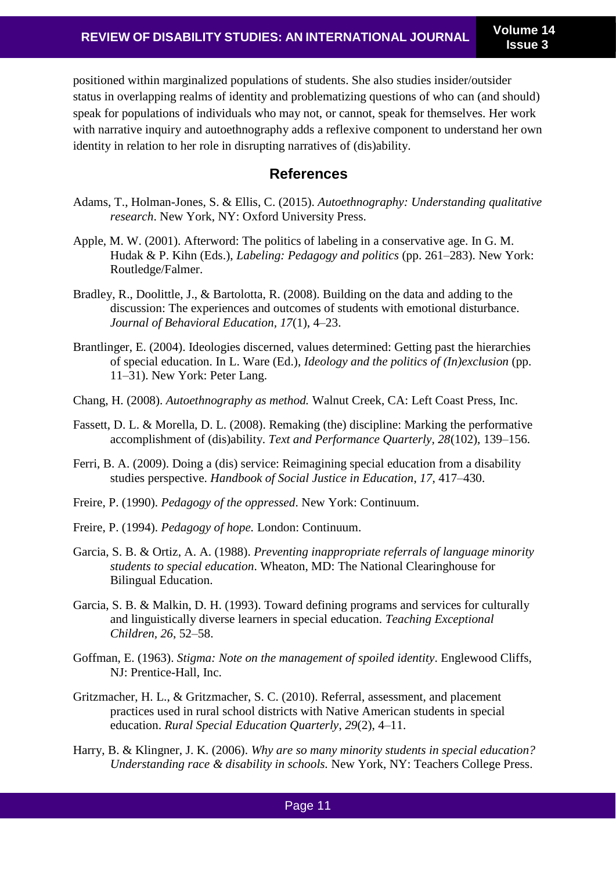positioned within marginalized populations of students. She also studies insider/outsider status in overlapping realms of identity and problematizing questions of who can (and should) speak for populations of individuals who may not, or cannot, speak for themselves. Her work with narrative inquiry and autoethnography adds a reflexive component to understand her own identity in relation to her role in disrupting narratives of (dis)ability.

## **References**

- Adams, T., Holman-Jones, S. & Ellis, C. (2015). *Autoethnography: Understanding qualitative research*. New York, NY: Oxford University Press.
- Apple, M. W. (2001). Afterword: The politics of labeling in a conservative age. In G. M. Hudak & P. Kihn (Eds.), *Labeling: Pedagogy and politics* (pp. 261–283). New York: Routledge/Falmer.
- Bradley, R., Doolittle, J., & Bartolotta, R. (2008). Building on the data and adding to the discussion: The experiences and outcomes of students with emotional disturbance. *Journal of Behavioral Education, 17*(1), 4–23.
- Brantlinger, E. (2004). Ideologies discerned, values determined: Getting past the hierarchies of special education. In L. Ware (Ed.), *Ideology and the politics of (In)exclusion* (pp. 11–31). New York: Peter Lang.
- Chang, H. (2008). *Autoethnography as method.* Walnut Creek, CA: Left Coast Press, Inc.
- Fassett, D. L. & Morella, D. L. (2008). Remaking (the) discipline: Marking the performative accomplishment of (dis)ability. *Text and Performance Quarterly, 28*(102), 139–156.
- Ferri, B. A. (2009). Doing a (dis) service: Reimagining special education from a disability studies perspective. *Handbook of Social Justice in Education*, *17*, 417–430.
- Freire, P. (1990). *Pedagogy of the oppressed*. New York: Continuum.
- Freire, P. (1994). *Pedagogy of hope.* London: Continuum.
- Garcia, S. B. & Ortiz, A. A. (1988). *Preventing inappropriate referrals of language minority students to special education*. Wheaton, MD: The National Clearinghouse for Bilingual Education.
- Garcia, S. B. & Malkin, D. H. (1993). Toward defining programs and services for culturally and linguistically diverse learners in special education. *Teaching Exceptional Children, 26*, 52–58.
- Goffman, E. (1963). *Stigma: Note on the management of spoiled identity*. Englewood Cliffs, NJ: Prentice-Hall, Inc.
- Gritzmacher, H. L., & Gritzmacher, S. C. (2010). Referral, assessment, and placement practices used in rural school districts with Native American students in special education. *Rural Special Education Quarterly*, *29*(2), 4–11.
- Harry, B. & Klingner, J. K. (2006). *Why are so many minority students in special education? Understanding race & disability in schools.* New York, NY: Teachers College Press.